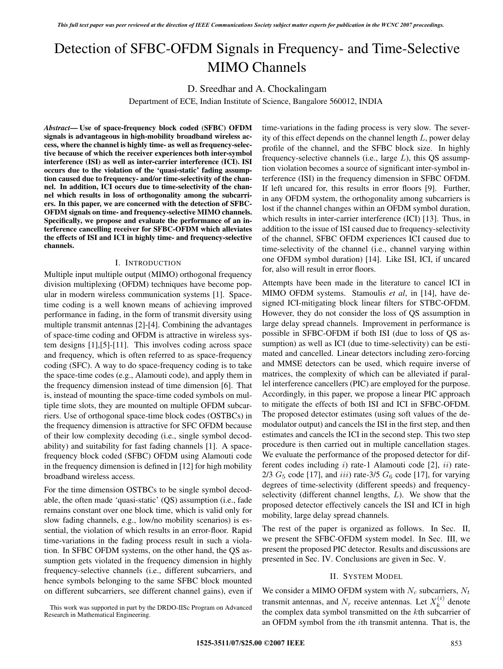# Detection of SFBC-OFDM Signals in Frequency- and Time-Selective MIMO Channels

# D. Sreedhar and A. Chockalingam

Department of ECE, Indian Institute of Science, Bangalore 560012, INDIA

*Abstract***— Use of space-frequency block coded (SFBC) OFDM signals is advantageous in high-mobility broadband wireless access, where the channel is highly time- as well as frequency-selective because of which the receiver experiences both inter-symbol interference (ISI) as well as inter-carrier interference (ICI). ISI occurs due to the violation of the 'quasi-static' fading assumption caused due to frequency- and/or time-selectivity of the channel. In addition, ICI occurs due to time-selectivity of the channel which results in loss of orthogonality among the subcarriers. In this paper, we are concerned with the detection of SFBC-OFDM signals on time- and frequency-selective MIMO channels. Specifically, we propose and evaluate the performance of an interference cancelling receiver for SFBC-OFDM which alleviates the effects of ISI and ICI in highly time- and frequency-selective channels.**

#### I. INTRODUCTION

Multiple input multiple output (MIMO) orthogonal frequency division multiplexing (OFDM) techniques have become popular in modern wireless communication systems [1]. Spacetime coding is a well known means of achieving improved performance in fading, in the form of transmit diversity using multiple transmit antennas [2]-[4]. Combining the advantages of space-time coding and OFDM is attractive in wireless system designs [1],[5]-[11]. This involves coding across space and frequency, which is often referred to as space-frequency coding (SFC). A way to do space-frequency coding is to take the space-time codes (e.g., Alamouti code), and apply them in the frequency dimension instead of time dimension [6]. That is, instead of mounting the space-time coded symbols on multiple time slots, they are mounted on multiple OFDM subcarriers. Use of orthogonal space-time block codes (OSTBCs) in the frequency dimension is attractive for SFC OFDM because of their low complexity decoding (i.e., single symbol decodability) and suitability for fast fading channels [1]. A spacefrequency block coded (SFBC) OFDM using Alamouti code in the frequency dimension is defined in [12] for high mobility broadband wireless access.

For the time dimension OSTBCs to be single symbol decodable, the often made 'quasi-static' (QS) assumption (i.e., fade remains constant over one block time, which is valid only for slow fading channels, e.g., low/no mobility scenarios) is essential, the violation of which results in an error-floor. Rapid time-variations in the fading process result in such a violation. In SFBC OFDM systems, on the other hand, the QS assumption gets violated in the frequency dimension in highly frequency-selective channels (i.e., different subcarriers, and hence symbols belonging to the same SFBC block mounted on different subcarriers, see different channel gains), even if

This work was supported in part by the DRDO-IISc Program on Advanced Research in Mathematical Engineering.

time-variations in the fading process is very slow. The severity of this effect depends on the channel length  $L$ , power delay profile of the channel, and the SFBC block size. In highly frequency-selective channels (i.e., large L), this QS assumption violation becomes a source of significant inter-symbol interference (ISI) in the frequency dimension in SFBC OFDM. If left uncared for, this results in error floors [9]. Further, in any OFDM system, the orthogonality among subcarriers is lost if the channel changes within an OFDM symbol duration, which results in inter-carrier interference (ICI) [13]. Thus, in addition to the issue of ISI caused due to frequency-selectivity of the channel, SFBC OFDM experiences ICI caused due to time-selectivity of the channel (i.e., channel varying within one OFDM symbol duration) [14]. Like ISI, ICI, if uncared for, also will result in error floors.

Attempts have been made in the literature to cancel ICI in MIMO OFDM systems. Stamoulis *et al*, in [14], have designed ICI-mitigating block linear filters for STBC-OFDM. However, they do not consider the loss of QS assumption in large delay spread channels. Improvement in performance is possible in SFBC-OFDM if both ISI (due to loss of QS assumption) as well as ICI (due to time-selectivity) can be estimated and cancelled. Linear detectors including zero-forcing and MMSE detectors can be used, which require inverse of matrices, the complexity of which can be alleviated if parallel interference cancellers (PIC) are employed for the purpose. Accordingly, in this paper, we propose a linear PIC approach to mitigate the effects of both ISI and ICI in SFBC-OFDM. The proposed detector estimates (using soft values of the demodulator output) and cancels the ISI in the first step, and then estimates and cancels the ICI in the second step. This two step procedure is then carried out in multiple cancellation stages. We evaluate the performance of the proposed detector for different codes including  $i$ ) rate-1 Alamouti code [2],  $ii$ ) rate-2/3  $G<sub>5</sub>$  code [17], and iii) rate-3/5  $G<sub>6</sub>$  code [17], for varying degrees of time-selectivity (different speeds) and frequencyselectivity (different channel lengths,  $L$ ). We show that the proposed detector effectively cancels the ISI and ICI in high mobility, large delay spread channels.

The rest of the paper is organized as follows. In Sec. II, we present the SFBC-OFDM system model. In Sec. III, we present the proposed PIC detector. Results and discussions are presented in Sec. IV. Conclusions are given in Sec. V.

# II. SYSTEM MODEL

We consider a MIMO OFDM system with  $N_c$  subcarriers,  $N_t$ transmit antennas, and  $N_r$  receive antennas. Let  $X_k^{(i)}$  denote<br>the complex data symbol transmitted on the *k*th subcarrier of the complex data symbol transmitted on the kth subcarrier of an OFDM symbol from the ith transmit antenna. That is, the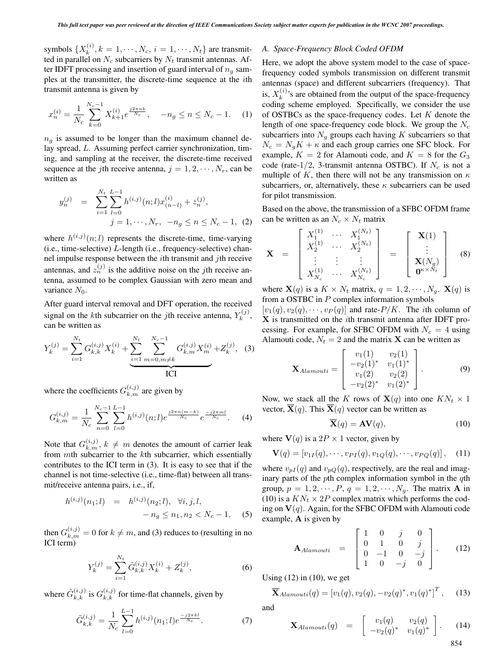symbols  $\{X_k^{(i)}, k = 1, \dots, N_c, i = 1, \dots, N_t\}$  are transmitted in parallel on N, subcarriers by N, transmit antennas. Afted in parallel on  $N_c$  subcarriers by  $N_t$  transmit antennas. After IDFT processing and insertion of guard interval of  $n<sub>q</sub>$  samples at the transmitter, the discrete-time sequence at the ith transmit antenna is given by

$$
x_n^{(i)} = \frac{1}{N_c} \sum_{k=0}^{N_c - 1} X_{k+1}^{(i)} e^{\frac{j2\pi nk}{N_c}}, \quad -n_g \le n \le N_c - 1. \tag{1}
$$

 $n<sub>g</sub>$  is assumed to be longer than the maximum channel delay spread, L. Assuming perfect carrier synchronization, timing, and sampling at the receiver, the discrete-time received sequence at the *j*th receive antenna,  $j = 1, 2, \dots, N_r$ , can be written as

$$
y_n^{(j)} = \sum_{i=1}^{N_t} \sum_{l=0}^{L-1} h^{(i,j)}(n;l) x_{(n-l)}^{(i)} + z_n^{(j)},
$$
  
 
$$
j = 1, \cdots, N_r, \ -n_g \le n \le N_c - 1, \ (2)
$$

where  $h^{(i,j)}(n;l)$  represents the discrete-time, time-varying (i.e., time-selective) L-length (i.e., frequency-selective) channel impulse response between the ith transmit and jth receive antennas, and  $z_n^{(j)}$  is the additive noise on the *j*th receive antenna, assumed to be complex Gaussian with zero mean and variance  $N_0$ .

After guard interval removal and DFT operation, the received signal on the *k*th subcarrier on the *j*th receive antenna,  $Y_k^{(j)}$ , can be written as can be written as

$$
Y_k^{(j)} = \sum_{i=1}^{N_t} G_{k,k}^{(i,j)} X_k^{(i)} + \underbrace{\sum_{i=1}^{N_t} \sum_{m=0, m \neq k}^{N_c - 1} G_{k,m}^{(i,j)} X_m^{(i)} + Z_k^{(j)}, \quad (3)
$$
ICI

where the coefficients  $G_{k,m}^{(i,j)}$  are given by

$$
G_{k,m}^{(i,j)} = \frac{1}{N_c} \sum_{n=0}^{N_c-1} \sum_{l=0}^{L-1} h^{(i,j)}(n;l) e^{\frac{j2\pi n(m-k)}{N_c}} e^{\frac{-j2\pi ml}{N_c}}.
$$
 (4)

Note that  $G_{k,m}^{(i,j)}$ ,  $k \neq m$  denotes the amount of carrier leak<br>from mth subcarrier to the kth subcarrier which essentially from mth subcarrier to the kth subcarrier, which essentially contributes to the ICI term in (3). It is easy to see that if the channel is not time-selective (i.e., time-flat) between all transmit/receive antenna pairs, i.e., if,

$$
h^{(i,j)}(n_1;l) = h^{(i,j)}(n_2;l), \quad \forall i, j, l, -n_g \le n_1, n_2 < N_c - 1,
$$
 (5)

then  $G_{k,m}^{(i,j)} = 0$  for  $k \neq m$ , and (3) reduces to (resulting in no **ICI** term) ICI term)

$$
Y_k^{(j)} = \sum_{i=1}^{N_t} \tilde{G}_{k,k}^{(i,j)} X_k^{(i)} + Z_k^{(j)},
$$
\n(6)

where  $\tilde{G}_{k,k}^{(i,j)}$  is  $G_{k,k}^{(i,j)}$  for time-flat channels, given by

$$
\tilde{G}_{k,k}^{(i,j)} = \frac{1}{N_c} \sum_{l=0}^{L-1} h^{(i,j)}(n_1;l)e^{\frac{-j2\pi kl}{N_c}}.
$$
 (7)

#### *A. Space-Frequency Block Coded OFDM*

Here, we adopt the above system model to the case of spacefrequency coded symbols transmission on different transmit antennas (space) and different subcarriers (frequency). That is,  $X_k^{(i)}$ 's are obtained from the output of the space-frequency<br>coding scheme employed. Specifically, we consider the use coding scheme employed. Specifically, we consider the use of OSTBCs as the space-frequency codes. Let K denote the length of one space-frequency code block. We group the  $N_c$ subcarriers into  $N<sub>q</sub>$  groups each having K subcarriers so that  $N_c = N_g K + \kappa$  and each group carries one SFC block. For example,  $K = 2$  for Alamouti code, and  $K = 8$  for the  $G_3$ code (rate-1/2, 3-transmit antenna OSTBC). If  $N_c$  is not a multiple of K, then there will not be any transmission on  $\kappa$ subcarriers, or, alternatively, these  $\kappa$  subcarriers can be used for pilot transmission.

Based on the above, the transmission of a SFBC OFDM frame can be written as an  $N_c \times N_t$  matrix

$$
\mathbf{X} = \begin{bmatrix} X_1^{(1)} & \cdots & X_1^{(N_t)} \\ X_2^{(1)} & \cdots & X_2^{(N_t)} \\ \vdots & \vdots & \vdots \\ X_{N_c}^{(1)} & \cdots & X_{N_c}^{(N_t)} \end{bmatrix} = \begin{bmatrix} \mathbf{X}(1) \\ \vdots \\ \mathbf{X}(N_g) \\ \mathbf{0}^{\kappa \times N_t} \end{bmatrix}
$$
 (8)

where  $\mathbf{X}(q)$  is a  $K \times N_t$  matrix,  $q = 1, 2, \cdots, N_q$ .  $\mathbf{X}(q)$  is from a OSTBC in P complex information symbols

 $[v_1(q), v_2(q), \cdots, v_p(q)]$  and rate- $P/K$ . The *i*th column of **X** is transmitted on the ith transmit antenna after IDFT processing. For example, for SFBC OFDM with  $N_c = 4$  using Alamouti code,  $N_t = 2$  and the matrix **X** can be written as

$$
\mathbf{X}_{Alamouti} = \begin{bmatrix} v_1(1) & v_2(1) \\ -v_2(1)^* & v_1(1)^* \\ v_1(2) & v_2(2) \\ -v_2(2)^* & v_1(2)^* \end{bmatrix} . \tag{9}
$$

Now, we stack all the K rows of  $X(q)$  into one  $KN_t \times 1$ vector,  $\overline{\mathbf{X}}(q)$ . This  $\overline{\mathbf{X}}(q)$  vector can be written as

$$
\overline{\mathbf{X}}(q) = \mathbf{A}\mathbf{V}(q),\tag{10}
$$

where  $V(q)$  is a  $2P \times 1$  vector, given by

$$
\mathbf{V}(q) = [v_{1I}(q), \cdots, v_{PI}(q), v_{1Q}(q), \cdots, v_{PQ}(q)], \quad (11)
$$

where  $v_{pI}(q)$  and  $v_{pQ}(q)$ , respectively, are the real and imaginary parts of the pth complex information symbol in the qth group,  $p = 1, 2, \dots, P$ ,  $q = 1, 2, \dots, N_q$ . The matrix **A** in (10) is a  $KN_t \times 2P$  complex matrix which performs the coding on  $V(q)$ . Again, for the SFBC OFDM with Alamouti code example, **A** is given by

$$
\mathbf{A}_{Alamouti} = \begin{bmatrix} 1 & 0 & j & 0 \\ 0 & 1 & 0 & j \\ 0 & -1 & 0 & -j \\ 1 & 0 & -j & 0 \end{bmatrix} . \tag{12}
$$

Using  $(12)$  in  $(10)$ , we get

$$
\overline{\mathbf{X}}_{Alamouti}(q) = [v_1(q), v_2(q), -v_2(q)^*, v_1(q)^*]^T, \quad (13)
$$

and

$$
\mathbf{X}_{Alamouti}(q) = \begin{bmatrix} v_1(q) & v_2(q) \\ -v_2(q)^* & v_1(q)^* \end{bmatrix}.
$$
 (14)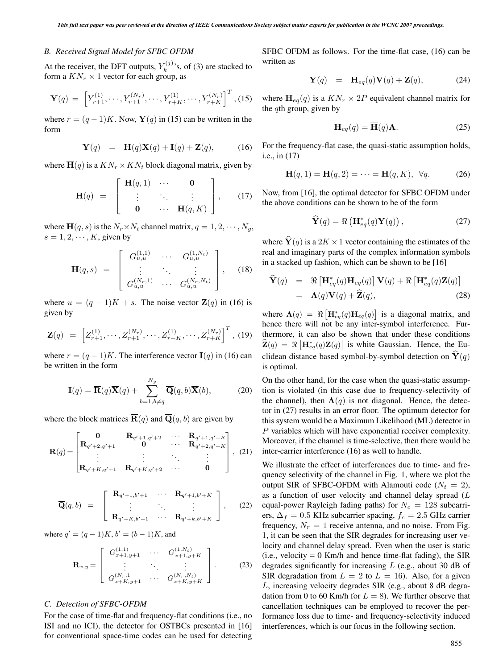# *B. Received Signal Model for SFBC OFDM*

At the receiver, the DFT outputs,  $Y_k^{(j)}$ 's, of (3) are stacked to form a  $KN \times 1$  vector for each group as form a  $KN_r \times 1$  vector for each group, as

$$
\mathbf{Y}(q) = \left[ Y_{r+1}^{(1)}, \cdots, Y_{r+1}^{(N_r)}, \cdots, Y_{r+K}^{(1)}, \cdots, Y_{r+K}^{(N_r)} \right]^T, (15)
$$

where  $r = (q - 1)K$ . Now, **Y**(q) in (15) can be written in the form

$$
\mathbf{Y}(q) = \overline{\mathbf{H}}(q)\overline{\mathbf{X}}(q) + \mathbf{I}(q) + \mathbf{Z}(q), \quad (16)
$$

where  $\overline{H}(q)$  is a  $KN_r \times KN_t$  block diagonal matrix, given by

$$
\overline{\mathbf{H}}(q) = \begin{bmatrix} \mathbf{H}(q,1) & \cdots & \mathbf{0} \\ \vdots & \ddots & \vdots \\ \mathbf{0} & \cdots & \mathbf{H}(q,K) \end{bmatrix}, \qquad (17)
$$

where  $\mathbf{H}(q, s)$  is the  $N_r \times N_t$  channel matrix,  $q = 1, 2, \cdots, N_q$ ,  $s = 1, 2, \dots, K$ , given by

$$
\mathbf{H}(q,s) = \begin{bmatrix} G_{u,u}^{(1,1)} & \cdots & G_{u,u}^{(1,N_t)} \\ \vdots & \ddots & \vdots \\ G_{u,u}^{(N_r,1)} & \cdots & G_{u,u}^{(N_r,N_t)} \end{bmatrix}, \quad (18)
$$

where  $u = (q - 1)K + s$ . The noise vector  $\mathbf{Z}(q)$  in (16) is given by

$$
\mathbf{Z}(q) = \left[ Z_{r+1}^{(1)}, \cdots, Z_{r+1}^{(N_r)}, \cdots, Z_{r+K}^{(1)}, \cdots, Z_{r+K}^{(N_r)} \right]^T, (19)
$$

where  $r = (q - 1)K$ . The interference vector **I**(q) in (16) can be written in the form

$$
\mathbf{I}(q) = \overline{\mathbf{R}}(q)\overline{\mathbf{X}}(q) + \sum_{b=1, b \neq q}^{N_g} \overline{\mathbf{Q}}(q, b)\overline{\mathbf{X}}(b),
$$
 (20)

where the block matrices  $\overline{\mathbf{R}}(q)$  and  $\overline{\mathbf{Q}}(q, b)$  are given by

$$
\overline{\mathbf{R}}(q) = \begin{bmatrix} \mathbf{0} & \mathbf{R}_{q'+1,q'+2} & \cdots & \mathbf{R}_{q'+1,q'+K} \\ \mathbf{R}_{q'+2,q'+1} & \mathbf{0} & \cdots & \mathbf{R}_{q'+2,q'+K} \\ \vdots & \vdots & \ddots & \vdots \\ \mathbf{R}_{q'+K,q'+1} & \mathbf{R}_{q'+K,q'+2} & \cdots & \mathbf{0} \end{bmatrix}, (21)
$$

$$
\overline{\mathbf{Q}}(q,b) = \begin{bmatrix} \mathbf{R}_{q'+1,b'+1} & \cdots & \mathbf{R}_{q'+1,b'+K} \\ \vdots & \ddots & \vdots \\ \mathbf{R}_{q'+K,b'+1} & \cdots & \mathbf{R}_{q'+k,b'+K} \end{bmatrix}, \quad (22)
$$

where  $q' = (q - 1)K$ ,  $b' = (b - 1)K$ , and

$$
\mathbf{R}_{x,y} = \begin{bmatrix} G_{x+1,y+1}^{(1,1)} & \cdots & G_{x+1,y+K}^{(1,N_t)} \\ \vdots & \ddots & \vdots \\ G_{x+K,y+1}^{(N_r,1)} & \cdots & G_{x+K,y+K}^{(N_r,N_t)} \end{bmatrix} .
$$
 (23)

## *C. Detection of SFBC-OFDM*

For the case of time-flat and frequency-flat conditions (i.e., no ISI and no ICI), the detector for OSTBCs presented in [16] for conventional space-time codes can be used for detecting SFBC OFDM as follows. For the time-flat case, (16) can be written as

$$
\mathbf{Y}(q) = \mathbf{H}_{eq}(q)\mathbf{V}(q) + \mathbf{Z}(q), \tag{24}
$$

where  $\mathbf{H}_{eq}(q)$  is a  $KN_r \times 2P$  equivalent channel matrix for the  $q$ th group, given by

$$
\mathbf{H}_{eq}(q) = \overline{\mathbf{H}}(q)\mathbf{A}.
$$
 (25)

For the frequency-flat case, the quasi-static assumption holds, i.e., in (17)

$$
\mathbf{H}(q,1) = \mathbf{H}(q,2) = \cdots = \mathbf{H}(q,K), \ \forall q. \tag{26}
$$

Now, from [16], the optimal detector for SFBC OFDM under the above conditions can be shown to be of the form

$$
\widehat{\mathbf{Y}}(q) = \Re\left(\mathbf{H}_{eq}^*(q)\mathbf{Y}(q)\right),\tag{27}
$$

where  $\hat{\mathbf{Y}}(q)$  is a 2K  $\times$  1 vector containing the estimates of the real and imaginary parts of the complex information symbols in a stacked up fashion, which can be shown to be [16]

$$
\widehat{\mathbf{Y}}(q) = \Re \left[ \mathbf{H}_{eq}^*(q) \mathbf{H}_{eq}(q) \right] \mathbf{V}(q) + \Re \left[ \mathbf{H}_{eq}^*(q) \mathbf{Z}(q) \right]
$$
\n
$$
= \Lambda(q) \mathbf{V}(q) + \widehat{\mathbf{Z}}(q), \tag{28}
$$

where  $\Lambda(q) = \Re \left[ \mathbf{H}_{eq}^*(q) \mathbf{H}_{eq}(q) \right]$  is a diagonal matrix, and hence there will not be any inter-symbol interference. Furthermore, it can also be shown that under these conditions  $\hat{\mathbf{Z}}(q) = \Re \left[ \mathbf{H}_{eq}^*(q) \mathbf{Z}(q) \right]$  is white Gaussian. Hence, the Euclidean distance based symbol-by-symbol detection on  $\hat{\mathbf{Y}}(q)$ is optimal.

On the other hand, for the case when the quasi-static assumption is violated (in this case due to frequency-selectivity of the channel), then  $\Lambda(q)$  is not diagonal. Hence, the detector in (27) results in an error floor. The optimum detector for this system would be a Maximum Likelihood (ML) detector in P variables which will have exponential receiver complexity. Moreover, if the channel is time-selective, then there would be inter-carrier interference (16) as well to handle.

We illustrate the effect of interferences due to time- and frequency selectivity of the channel in Fig. 1, where we plot the output SIR of SFBC-OFDM with Alamouti code ( $N_t = 2$ ), as a function of user velocity and channel delay spread (L equal-power Rayleigh fading paths) for  $N_c = 128$  subcarriers,  $\Delta_f = 0.5$  KHz subcarrier spacing,  $f_c = 2.5$  GHz carrier frequency,  $N_r = 1$  receive antenna, and no noise. From Fig. 1, it can be seen that the SIR degrades for increasing user velocity and channel delay spread. Even when the user is static (i.e., velocity =  $0$  Km/h and hence time-flat fading), the SIR degrades significantly for increasing  $L$  (e.g., about 30 dB of SIR degradation from  $L = 2$  to  $L = 16$ ). Also, for a given L, increasing velocity degrades SIR (e.g., about 8 dB degradation from 0 to 60 Km/h for  $L = 8$ ). We further observe that cancellation techniques can be employed to recover the performance loss due to time- and frequency-selectivity induced interferences, which is our focus in the following section.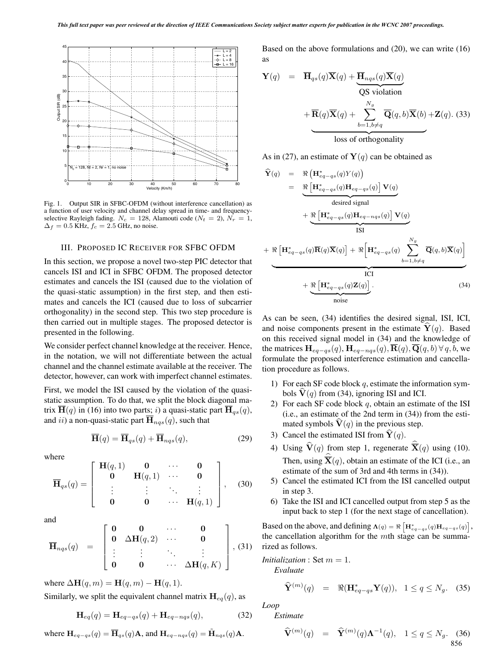

Fig. 1. Output SIR in SFBC-OFDM (without interference cancellation) as a function of user velocity and channel delay spread in time- and frequencyselective Rayleigh fading.  $N_c = 128$ , Alamouti code ( $N_t = 2$ ),  $N_r = 1$ ,  $\Delta_f = 0.5$  KHz,  $f_c = 2.5$  GHz, no noise.

#### III. PROPOSED IC RECEIVER FOR SFBC OFDM

In this section, we propose a novel two-step PIC detector that cancels ISI and ICI in SFBC OFDM. The proposed detector estimates and cancels the ISI (caused due to the violation of the quasi-static assumption) in the first step, and then estimates and cancels the ICI (caused due to loss of subcarrier orthogonality) in the second step. This two step procedure is then carried out in multiple stages. The proposed detector is presented in the following.

We consider perfect channel knowledge at the receiver. Hence, in the notation, we will not differentiate between the actual channel and the channel estimate available at the receiver. The detector, however, can work with imperfect channel estimates.

First, we model the ISI caused by the violation of the quasistatic assumption. To do that, we split the block diagonal matrix  $\mathbf{H}(q)$  in (16) into two parts; i) a quasi-static part  $\mathbf{H}_{qs}(q)$ , and *ii*) a non-quasi-static part  $\mathbf{H}_{nqs}(q)$ , such that

$$
\overline{\mathbf{H}}(q) = \overline{\mathbf{H}}_{qs}(q) + \overline{\mathbf{H}}_{nqs}(q), \tag{29}
$$

where

$$
\overline{\mathbf{H}}_{qs}(q) = \begin{bmatrix} \mathbf{H}(q,1) & \mathbf{0} & \cdots & \mathbf{0} \\ \mathbf{0} & \mathbf{H}(q,1) & \cdots & \mathbf{0} \\ \vdots & \vdots & \ddots & \vdots \\ \mathbf{0} & \mathbf{0} & \cdots & \mathbf{H}(q,1) \end{bmatrix}, \quad (30)
$$

and

$$
\overline{\mathbf{H}}_{ngs}(q) = \begin{bmatrix} \mathbf{0} & \mathbf{0} & \cdots & \mathbf{0} \\ \mathbf{0} & \Delta \mathbf{H}(q,2) & \cdots & \mathbf{0} \\ \vdots & \vdots & \ddots & \vdots \\ \mathbf{0} & \mathbf{0} & \cdots & \Delta \mathbf{H}(q,K) \end{bmatrix}, (31)
$$

where  $\Delta \mathbf{H}(q,m) = \mathbf{H}(q,m) - \mathbf{H}(q,1)$ .

Similarly, we split the equivalent channel matrix  $\mathbf{H}_{eq}(q)$ , as

$$
\mathbf{H}_{eq}(q) = \mathbf{H}_{eq-qs}(q) + \mathbf{H}_{eq-nqs}(q),\tag{32}
$$

where  $\mathbf{H}_{eq-gs}(q) = \overline{\mathbf{H}}_{qs}(q)\mathbf{A}$ , and  $\mathbf{H}_{eq-nqs}(q) = \tilde{\mathbf{H}}_{nqs}(q)\mathbf{A}$ .

Based on the above formulations and (20), we can write (16) as

$$
\mathbf{Y}(q) = \overline{\mathbf{H}}_{qs}(q)\overline{\mathbf{X}}(q) + \underbrace{\overline{\mathbf{H}}_{nqs}(q)\overline{\mathbf{X}}(q)}_{\text{QS violation}}
$$

$$
+ \overline{\mathbf{R}}(q)\overline{\mathbf{X}}(q) + \sum_{b=1, b \neq q}^{N_g} \overline{\mathbf{Q}}(q, b)\overline{\mathbf{X}}(b) + \mathbf{Z}(q). (33)
$$
loss of orthogonality

As in (27), an estimate of  $Y(q)$  can be obtained as

$$
\hat{\mathbf{Y}}(q) = \Re \left( \mathbf{H}_{eq-qs}^{*}(q)Y(q) \right)
$$
\n
$$
= \Re \left[ \mathbf{H}_{eq-qs}^{*}(q) \mathbf{H}_{eq-qs}(q) \right] \mathbf{V}(q)
$$
\ndesired signal\n
$$
+ \Re \left[ \mathbf{H}_{eq-qs}^{*}(q) \mathbf{H}_{eq-nqs}(q) \right] \mathbf{V}(q)
$$
\nISI\n
$$
+ \Re \left[ \mathbf{H}_{eq-qs}^{*}(q) \overline{\mathbf{R}}(q) \overline{\mathbf{X}}(q) \right] + \Re \left[ \mathbf{H}_{eq-qs}^{*}(q) \sum_{b=1, b \neq q}^{N_g} \overline{\mathbf{Q}}(q, b) \overline{\mathbf{X}}(q) \right]
$$
\nICI\n
$$
+ \underbrace{\Re \left[ \mathbf{H}_{eq-qs}^{*}(q) \mathbf{Z}(q) \right]}_{noise}.
$$
\n(34)

As can be seen, (34) identifies the desired signal, ISI, ICI, and noise components present in the estimate  $Y(q)$ . Based on this received signal model in (34) and the knowledge of the matrices  $\mathbf{H}_{eq-qs}(q)$ ,  $\mathbf{H}_{eq-nqs}(q)$ ,  $\overline{\mathbf{R}}(q)$ ,  $\overline{\mathbf{Q}}(q, b)$   $\forall q, b$ , we formulate the proposed interference estimation and cancellation procedure as follows.

- 1) For each SF code block  $q$ , estimate the information symbols  $V(q)$  from (34), ignoring ISI and ICI.
- 2) For each SF code block  $q$ , obtain an estimate of the ISI (i.e., an estimate of the 2nd term in (34)) from the estimated symbols  **in the previous step.**
- 3) Cancel the estimated ISI from  $\dot{\mathbf{Y}}(q)$ .
- 4) Using  $\mathbf{V}(q)$  from step 1, regenerate  $\overline{\mathbf{X}}(q)$  using (10). Then, using  $\mathbf{\overline{X}}(q)$ , obtain an estimate of the ICI (i.e., an estimate of the sum of 3rd and 4th terms in (34)).
- 5) Cancel the estimated ICI from the ISI cancelled output in step 3.
- 6) Take the ISI and ICI cancelled output from step 5 as the input back to step 1 (for the next stage of cancellation).

Based on the above, and defining  $\Lambda(q) = \Re \left[ \mathbf{H}_{eq-qs}^*(q) \mathbf{H}_{eq-qs}(q) \right],$ the cancellation algorithm for the mth stage can be summarized as follows.

*Initialization* : Set  $m = 1$ . *Evaluate*

$$
\widehat{\mathbf{Y}}^{(m)}(q) = \Re(\mathbf{H}_{eq-qs}^* \mathbf{Y}(q)), \quad 1 \le q \le N_g. \tag{35}
$$

*Loop*

*Estimate*

$$
\widehat{\mathbf{V}}^{(m)}(q) = \widehat{\mathbf{Y}}^{(m)}(q) \mathbf{\Lambda}^{-1}(q), \quad 1 \le q \le N_g. \tag{36}
$$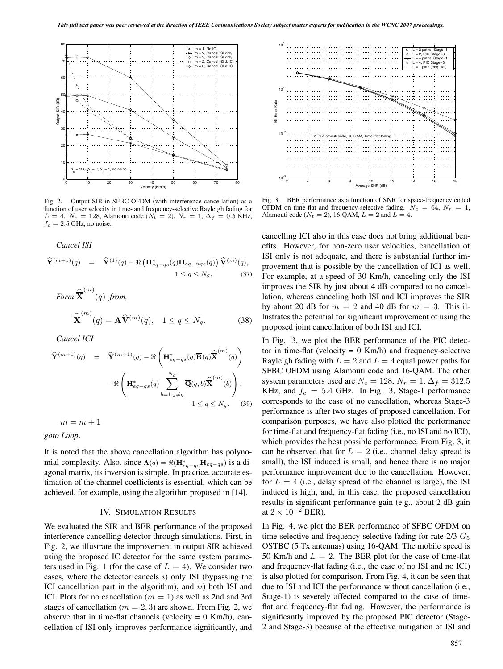

Fig. 2. Output SIR in SFBC-OFDM (with interference cancellation) as a function of user velocity in time- and frequency-selective Rayleigh fading for  $L = 4$ .  $N_c = 128$ , Alamouti code ( $N_t = 2$ ),  $N_r = 1$ ,  $\Delta_f = 0.5$  KHz,  $f_c = 2.5$  GHz, no noise.

*Cancel ISI*

$$
\widehat{\mathbf{Y}}^{(m+1)}(q) = \widehat{\mathbf{Y}}^{(1)}(q) - \Re\left(\mathbf{H}_{eq-qs}^*(q)\mathbf{H}_{eq-nqs}(q)\right)\widehat{\mathbf{V}}^{(m)}(q),
$$
  
1 \le q \le N\_g. (37)

Form 
$$
\widehat{\overline{\mathbf{X}}}^{(m)}(q)
$$
 from,  
\n
$$
\widehat{\overline{\mathbf{X}}}^{(m)}(q) = \mathbf{A}\widehat{\mathbf{V}}^{(m)}(q), \quad 1 \le q \le N_g.
$$
\n(38)

*Cancel ICI*

$$
\widehat{\mathbf{Y}}^{(m+1)}(q) = \widehat{\mathbf{Y}}^{(m+1)}(q) - \Re\left(\mathbf{H}_{eq-qs}^*(q)\overline{\mathbf{R}}(q)\widehat{\overline{\mathbf{X}}}^{(m)}(q)\right)
$$

$$
-\Re\left(\mathbf{H}_{eq-qs}^*(q)\sum_{b=1,j\neq q}^{N_g}\overline{\mathbf{Q}}(q,b)\widehat{\overline{\mathbf{X}}}^{(m)}(b)\right),
$$

$$
1 \leq q \leq N_g. \tag{39}
$$

 $m = m + 1$ 

*goto Loop*.

It is noted that the above cancellation algorithm has polynomial complexity. Also, since  $\Lambda(q) = \Re(\mathbf{H}^*_{eq-qs}\mathbf{H}_{eq-qs})$  is a di-<br>connel metrix its inversion is simple. In graphics assumes as agonal matrix, its inversion is simple. In practice, accurate estimation of the channel coefficients is essential, which can be achieved, for example, using the algorithm proposed in [14].

#### IV. SIMULATION RESULTS

We evaluated the SIR and BER performance of the proposed interference cancelling detector through simulations. First, in Fig. 2, we illustrate the improvement in output SIR achieved using the proposed IC detector for the same system parameters used in Fig. 1 (for the case of  $L = 4$ ). We consider two cases, where the detector cancels  $i$ ) only ISI (bypassing the ICI cancellation part in the algorithm), and *ii*) both ISI and ICI. Plots for no cancellation ( $m = 1$ ) as well as 2nd and 3rd stages of cancellation ( $m = 2, 3$ ) are shown. From Fig. 2, we observe that in time-flat channels (velocity  $= 0$  Km/h), cancellation of ISI only improves performance significantly, and



Fig. 3. BER performance as a function of SNR for space-frequency coded OFDM on time-flat and frequency-selective fading.  $N_c = 64$ ,  $N_r = 1$ , Alamouti code ( $N_t = 2$ ), 16-QAM,  $L = 2$  and  $L = 4$ .

cancelling ICI also in this case does not bring additional benefits. However, for non-zero user velocities, cancellation of ISI only is not adequate, and there is substantial further improvement that is possible by the cancellation of ICI as well. For example, at a speed of 30 Km/h, canceling only the ISI improves the SIR by just about 4 dB compared to no cancellation, whereas canceling both ISI and ICI improves the SIR by about 20 dB for  $m = 2$  and 40 dB for  $m = 3$ . This illustrates the potential for significant improvement of using the proposed joint cancellation of both ISI and ICI.

In Fig. 3, we plot the BER performance of the PIC detector in time-flat (velocity  $= 0$  Km/h) and frequency-selective Rayleigh fading with  $L = 2$  and  $L = 4$  equal power paths for SFBC OFDM using Alamouti code and 16-QAM. The other system parameters used are  $N_c = 128$ ,  $N_r = 1$ ,  $\Delta_f = 312.5$ KHz, and  $f_c = 5.4$  GHz. In Fig. 3, Stage-1 performance corresponds to the case of no cancellation, whereas Stage-3 performance is after two stages of proposed cancellation. For comparison purposes, we have also plotted the performance for time-flat and frequency-flat fading (i.e., no ISI and no ICI), which provides the best possible performance. From Fig. 3, it can be observed that for  $L = 2$  (i.e., channel delay spread is small), the ISI induced is small, and hence there is no major performance improvement due to the cancellation. However, for  $L = 4$  (i.e., delay spread of the channel is large), the ISI induced is high, and, in this case, the proposed cancellation results in significant performance gain (e.g., about 2 dB gain at  $2 \times 10^{-2}$  BER).

In Fig. 4, we plot the BER performance of SFBC OFDM on time-selective and frequency-selective fading for rate- $2/3$   $G_5$ OSTBC (5 Tx antennas) using 16-QAM. The mobile speed is 50 Km/h and  $L = 2$ . The BER plot for the case of time-flat and frequency-flat fading (i.e., the case of no ISI and no ICI) is also plotted for comparison. From Fig. 4, it can be seen that due to ISI and ICI the performance without cancellation (i.e., Stage-1) is severely affected compared to the case of timeflat and frequency-flat fading. However, the performance is significantly improved by the proposed PIC detector (Stage-2 and Stage-3) because of the effective mitigation of ISI and